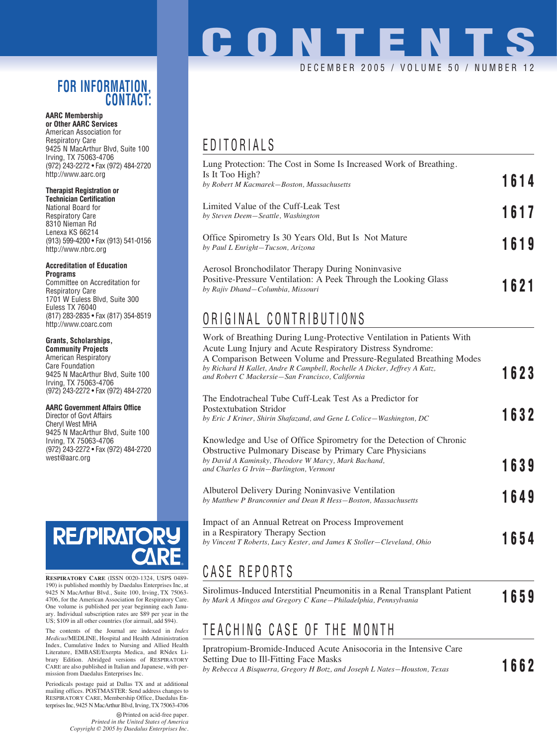#### **FOR INFORMATION, CONTACT:**

#### **AARC Membership or Other AARC Services**

American Association for Respiratory Care 9425 N MacArthur Blvd, Suite 100 Irving, TX 75063-4706 (972) 243-2272 • Fax (972) 484-2720 http://www.aarc.org

#### **Therapist Registration or**

**Technician Certification** National Board for Respiratory Care 8310 Nieman Rd Lenexa KS 66214 (913) 599-4200 • Fax (913) 541-0156 http://www.nbrc.org

#### **Accreditation of Education Programs**

Committee on Accreditation for Respiratory Care 1701 W Euless Blvd, Suite 300 Euless TX 76040 (817) 283-2835 • Fax (817) 354-8519 http://www.coarc.com

#### **Grants, Scholarships,**

**Community Projects** American Respiratory Care Foundation 9425 N MacArthur Blvd, Suite 100 Irving, TX 75063-4706 (972) 243-2272 • Fax (972) 484-2720

#### **AARC Government Affairs Office**

Director of Govt Affairs Cheryl West MHA 9425 N MacArthur Blvd, Suite 100 Irving, TX 75063-4706 (972) 243-2272 • Fax (972) 484-2720 west@aarc.org

# **RESPIRATO**

**RESPIRATORY CARE** (ISSN 0020-1324, USPS 0489- 190) is published monthly by Daedalus Enterprises Inc, at 9425 N MacArthur Blvd., Suite 100, Irving, TX 75063- 4706, for the American Association for Respiratory Care. One volume is published per year beginning each January. Individual subscription rates are \$89 per year in the US; \$109 in all other countries (for airmail, add \$94).

The contents of the Journal are indexed in *Index Medicus*/MEDLINE, Hospital and Health Administration Index, Cumulative Index to Nursing and Allied Health Literature, EMBASE/Exerpta Medica, and RNdex Library Edition. Abridged versions of RESPIRATORY CARE are also published in Italian and Japanese, with permission from Daedalus Enterprises Inc.

Periodicals postage paid at Dallas TX and at additional mailing offices. POSTMASTER: Send address changes to RESPIRATORY CARE, Membership Office, Daedalus Enterprises Inc, 9425 N MacArthur Blvd, Irving, TX 75063-4706

> Printed on acid-free paper. *Printed in the United States of America Copyright © 2005 by Daedalus Enterprises Inc.*

# **CONTENTS** DECEMBER 2005 / VOLUME 50 / NUMBER

## EDITORIALS

| Lung Protection: The Cost in Some Is Increased Work of Breathing.                                                                                         |      |
|-----------------------------------------------------------------------------------------------------------------------------------------------------------|------|
| Is It Too High?<br>by Robert M Kacmarek-Boston, Massachusetts                                                                                             | 1614 |
| Limited Value of the Cuff-Leak Test<br>by Steven Deem-Seattle, Washington                                                                                 | 1617 |
| Office Spirometry Is 30 Years Old, But Is Not Mature<br>by Paul L Enright-Tucson, Arizona                                                                 | 1619 |
| Aerosol Bronchodilator Therapy During Noninvasive<br>Positive-Pressure Ventilation: A Peek Through the Looking Glass<br>by Rajiv Dhand-Columbia, Missouri | 1621 |
| ODIOINIAI OONTOIDIITIONO                                                                                                                                  |      |

## ORIGINAL CONTRIBUTIONS

| Work of Breathing During Lung-Protective Ventilation in Patients With<br>Acute Lung Injury and Acute Respiratory Distress Syndrome:<br>A Comparison Between Volume and Pressure-Regulated Breathing Modes<br>by Richard H Kallet, Andre R Campbell, Rochelle A Dicker, Jeffrey A Katz, | 1623         |
|----------------------------------------------------------------------------------------------------------------------------------------------------------------------------------------------------------------------------------------------------------------------------------------|--------------|
| and Robert C Mackersie-San Francisco, California<br>The Endotracheal Tube Cuff-Leak Test As a Predictor for<br>Postextubation Stridor                                                                                                                                                  | 1632         |
| by Eric J Kriner, Shirin Shafazand, and Gene L Colice—Washington, DC<br>Knowledge and Use of Office Spirometry for the Detection of Chronic<br>Obstructive Pulmonary Disease by Primary Care Physicians                                                                                |              |
| by David A Kaminsky, Theodore W Marcy, Mark Bachand,<br>and Charles G Irvin-Burlington, Vermont<br>Albuterol Delivery During Noninvasive Ventilation<br>by Matthew P Branconnier and Dean R Hess-Boston, Massachusetts                                                                 | 1639<br>1649 |
| Impact of an Annual Retreat on Process Improvement<br>in a Respiratory Therapy Section<br>by Vincent T Roberts, Lucy Kester, and James K Stoller–Cleveland, Ohio                                                                                                                       | 1654         |
| CASE REPORTS                                                                                                                                                                                                                                                                           |              |

Sirolimus-Induced Interstitial Pneumonitis in a Renal Transplant Patient **by Mark A Mingos and Gregory C Kane—Philadelphia, Pennsylvania 1659** 

## TEACHING CASE OF THE MONTH

Ipratropium-Bromide-Induced Acute Anisocoria in the Intensive Care Setting Due to Ill-Fitting Face Masks *by Rebecca A Bisquerra, Gregory H Botz, and Joseph L Nates—Houston, Texas* **1662**